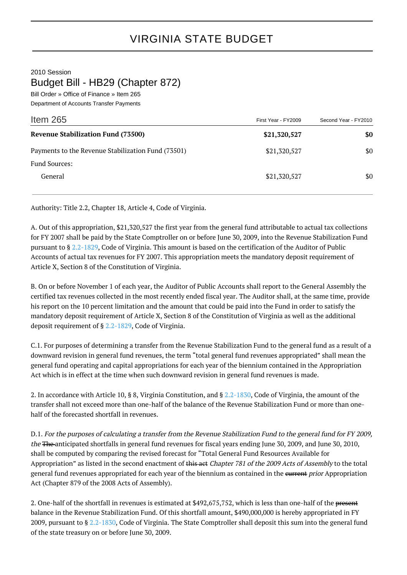## 2010 Session

Budget Bill - HB29 (Chapter 872)

Bill Order » Office of Finance » Item 265 Department of Accounts Transfer Payments

| Item $265$                                         | First Year - FY2009 | Second Year - FY2010 |
|----------------------------------------------------|---------------------|----------------------|
| <b>Revenue Stabilization Fund (73500)</b>          | \$21,320,527        | \$0                  |
| Payments to the Revenue Stabilization Fund (73501) | \$21,320,527        | \$0                  |
| <b>Fund Sources:</b>                               |                     |                      |
| General                                            | \$21,320,527        | \$0                  |

Authority: Title 2.2, Chapter 18, Article 4, Code of Virginia.

A. Out of this appropriation, \$21,320,527 the first year from the general fund attributable to actual tax collections for FY 2007 shall be paid by the State Comptroller on or before June 30, 2009, into the Revenue Stabilization Fund pursuant to § [2.2-1829](http://law.lis.virginia.gov/vacode/2.2-1829/), Code of Virginia. This amount is based on the certification of the Auditor of Public Accounts of actual tax revenues for FY 2007. This appropriation meets the mandatory deposit requirement of Article X, Section 8 of the Constitution of Virginia.

B. On or before November 1 of each year, the Auditor of Public Accounts shall report to the General Assembly the certified tax revenues collected in the most recently ended fiscal year. The Auditor shall, at the same time, provide his report on the 10 percent limitation and the amount that could be paid into the Fund in order to satisfy the mandatory deposit requirement of Article X, Section 8 of the Constitution of Virginia as well as the additional deposit requirement of § [2.2-1829](http://law.lis.virginia.gov/vacode/2.2-1829/), Code of Virginia.

C.1. For purposes of determining a transfer from the Revenue Stabilization Fund to the general fund as a result of a downward revision in general fund revenues, the term "total general fund revenues appropriated" shall mean the general fund operating and capital appropriations for each year of the biennium contained in the Appropriation Act which is in effect at the time when such downward revision in general fund revenues is made.

2. In accordance with Article 10, § 8, Virginia Constitution, and § [2.2-1830,](http://law.lis.virginia.gov/vacode/2.2-1830/) Code of Virginia, the amount of the transfer shall not exceed more than one-half of the balance of the Revenue Stabilization Fund or more than onehalf of the forecasted shortfall in revenues.

D.1. For the purposes of calculating a transfer from the Revenue Stabilization Fund to the general fund for FY 2009, the The anticipated shortfalls in general fund revenues for fiscal years ending June 30, 2009, and June 30, 2010, shall be computed by comparing the revised forecast for "Total General Fund Resources Available for Appropriation" as listed in the second enactment of this act Chapter 781 of the 2009 Acts of Assembly to the total general fund revenues appropriated for each year of the biennium as contained in the eurrent prior Appropriation Act (Chapter 879 of the 2008 Acts of Assembly).

2. One-half of the shortfall in revenues is estimated at \$492,675,752, which is less than one-half of the present balance in the Revenue Stabilization Fund. Of this shortfall amount, \$490,000,000 is hereby appropriated in FY 2009, pursuant to § [2.2-1830](http://law.lis.virginia.gov/vacode/2.2-1830/), Code of Virginia. The State Comptroller shall deposit this sum into the general fund of the state treasury on or before June 30, 2009.